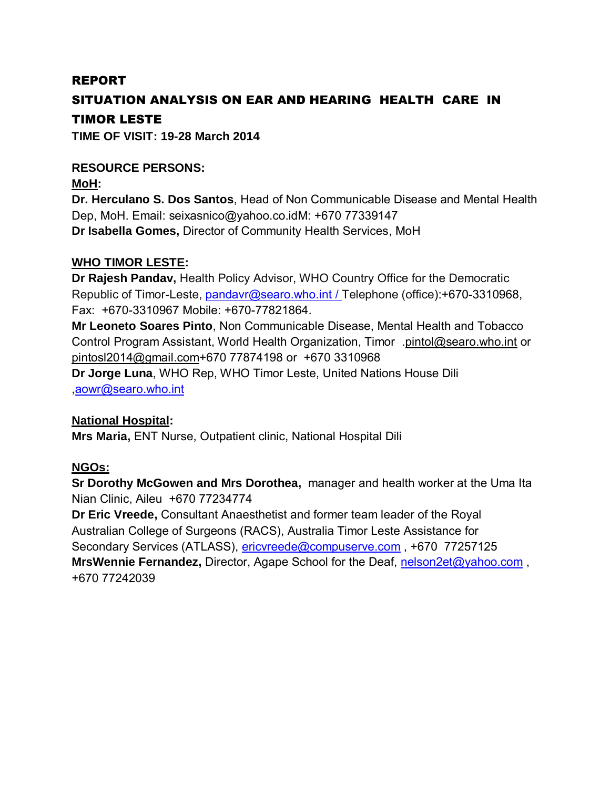#### REPORT

### SITUATION ANALYSIS ON EAR AND HEARING HEALTH CARE IN TIMOR LESTE

**TIME OF VISIT: 19-28 March 2014** 

## **RESOURCE PERSONS: MoH:**

**Dr. Herculano S. Dos Santos**, Head of Non Communicable Disease and Mental Health Dep, MoH. Email: [seixasnico@yahoo.co.idM](mailto:seixasnico@yahoo.co.id): +670 77339147 **Dr Isabella Gomes,** Director of Community Health Services, MoH

#### **WHO TIMOR LESTE:**

 **Dr Rajesh Pandav,** Health Policy Advisor, WHO Country Office for the Democratic Fax: +670-3310967 Mobile: +670-77821864. Republic of Timor-Leste, [pandavr@searo.who.int /](mailto:pandavr@searo.who.int) Telephone (office): +670-3310968,

 **Mr Leoneto Soares Pinto**, Non Communicable Disease, Mental Health and Tobacco Control Program Assistant, World Health Organization, Timor [.pintol@searo.who.int](mailto:pintol@searo.who.int) or [pintosl2014@gmail.com+](mailto:pintosl2014@gmail.com)670 77874198 or +670 3310968

**Dr Jorge Luna**, WHO Rep, WHO Timor Leste, United Nations House Dili [,aowr@searo.who.int](mailto:aowr@searo.who.int) 

#### **National Hospital:**

**Mrs Maria,** ENT Nurse, Outpatient clinic, National Hospital Dili

#### **NGOs:**

**Sr Dorothy McGowen and Mrs Dorothea,** manager and health worker at the Uma Ita Nian Clinic, Aileu +670 77234774

Secondary Services (ATLASS), <u>ericvreede@compuserve.com</u>,+670\_77257125 **Dr Eric Vreede,** Consultant Anaesthetist and former team leader of the Royal Australian College of Surgeons (RACS), Australia Timor Leste Assistance for MrsWennie Fernandez, Director, Agape School for the Deaf, nelson2et@yahoo.com, +670 77242039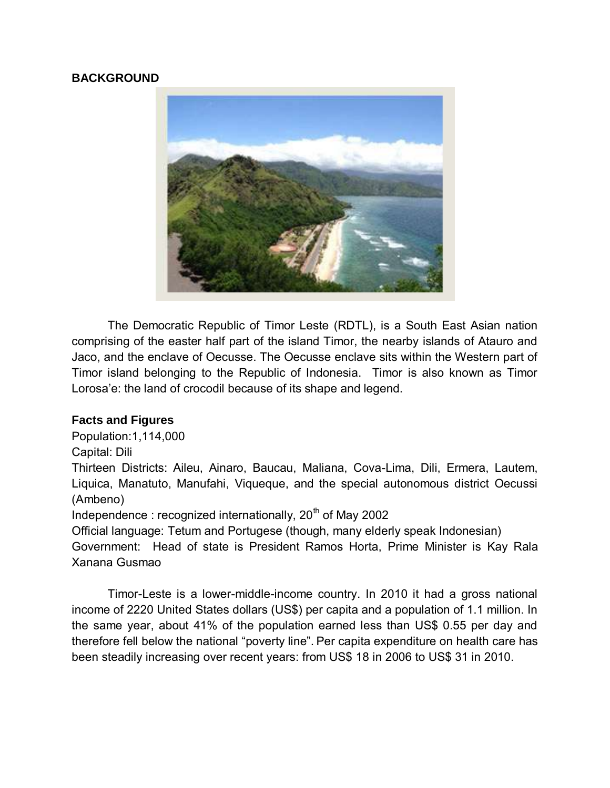#### **BACKGROUND**



 comprising of the easter half part of the island Timor, the nearby islands of Atauro and Jaco, and the enclave of Oecusse. The Oecusse enclave sits within the Western part of Timor island belonging to the Republic of Indonesia. Timor is also known as Timor Lorosa'e: the land of crocodil because of its shape and legend. The Democratic Republic of Timor Leste (RDTL), is a South East Asian nation

#### **Facts and Figures**

Population:1,114,000

Capital: Dili Thirteen Districts: Aileu, Ainaro, Baucau, Maliana, Cova-Lima, Dili, Ermera, Lautem, Liquica, Manatuto, Manufahi, Viqueque, and the special autonomous district Oecussi (Ambeno)

Independence : recognized internationally, 20 $<sup>th</sup>$  of May 2002</sup>

Official language: Tetum and Portugese (though, many elderly speak Indonesian)

 Government: Head of state is President Ramos Horta, Prime Minister is Kay Rala Xanana Gusmao

Timor-Leste is a lower-middle-income country. In 2010 it had a gross national income of 2220 United States dollars (US\$) per capita and a population of 1.1 million. In the same year, about 41% of the population earned less than US\$ 0.55 per day and therefore fell below the national "poverty line". Per capita expenditure on health care has been steadily increasing over recent years: from US\$ 18 in 2006 to US\$ 31 in 2010.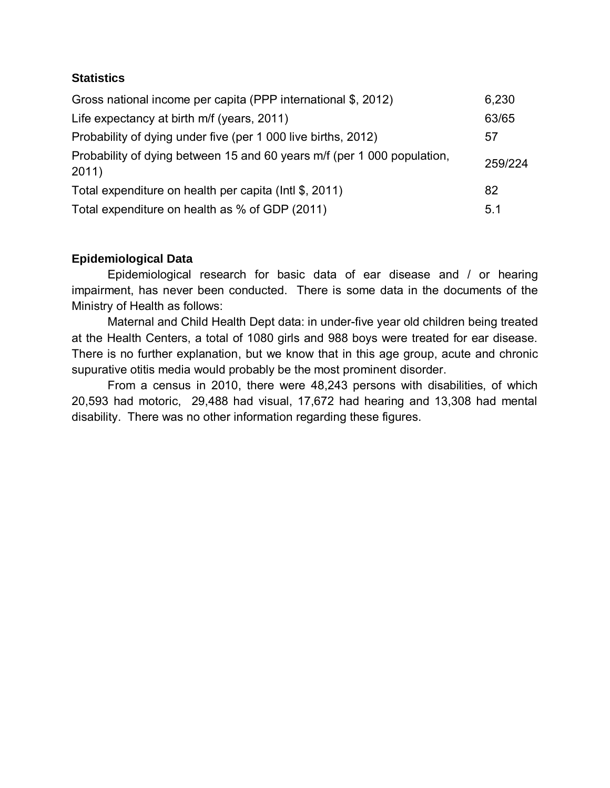#### **Statistics**

| Gross national income per capita (PPP international \$, 2012)                    | 6,230   |
|----------------------------------------------------------------------------------|---------|
| Life expectancy at birth m/f (years, 2011)                                       | 63/65   |
| Probability of dying under five (per 1 000 live births, 2012)                    | 57      |
| Probability of dying between 15 and 60 years m/f (per 1 000 population,<br>2011) | 259/224 |
| Total expenditure on health per capita (lntl \$, 2011)                           | 82      |
| Total expenditure on health as % of GDP (2011)                                   | 5.1     |

#### **Epidemiological Data**

 Epidemiological research for basic data of ear disease and / or hearing impairment, has never been conducted. There is some data in the documents of the Ministry of Health as follows:

 Maternal and Child Health Dept data: in under-five year old children being treated at the Health Centers, a total of 1080 girls and 988 boys were treated for ear disease. There is no further explanation, but we know that in this age group, acute and chronic supurative otitis media would probably be the most prominent disorder.

 From a census in 2010, there were 48,243 persons with disabilities, of which 20,593 had motoric, 29,488 had visual, 17,672 had hearing and 13,308 had mental disability. There was no other information regarding these figures.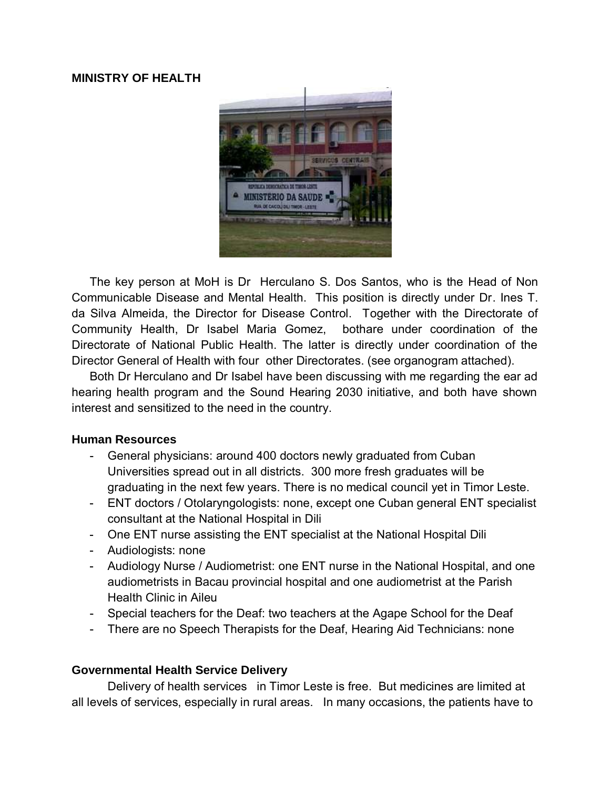#### **MINISTRY OF HEALTH**



 Communicable Disease and Mental Health. This position is directly under Dr. Ines T. da Silva Almeida, the Director for Disease Control. Together with the Directorate of Directorate of National Public Health. The latter is directly under coordination of the Director General of Health with four other Directorates. (see organogram attached). The key person at MoH is Dr Herculano S. Dos Santos, who is the Head of Non Community Health, Dr Isabel Maria Gomez, bothare under coordination of the

 hearing health program and the Sound Hearing 2030 initiative, and both have shown Both Dr Herculano and Dr Isabel have been discussing with me regarding the ear ad interest and sensitized to the need in the country.

#### **Human Resources**

- Universities spread out in all districts. 300 more fresh graduates will be graduating in the next few years. There is no medical council yet in Timor Leste. - General physicians: around 400 doctors newly graduated from Cuban
- - ENT doctors / Otolaryngologists: none, except one Cuban general ENT specialist consultant at the National Hospital in Dili
- One ENT nurse assisting the ENT specialist at the National Hospital Dili
- Audiologists: none
- - Audiology Nurse / Audiometrist: one ENT nurse in the National Hospital, and one audiometrists in Bacau provincial hospital and one audiometrist at the Parish Health Clinic in Aileu
- Special teachers for the Deaf: two teachers at the Agape School for the Deaf
- There are no Speech Therapists for the Deaf, Hearing Aid Technicians: none

#### **Governmental Health Service Delivery**

 Delivery of health services in Timor Leste is free. But medicines are limited at all levels of services, especially in rural areas. In many occasions, the patients have to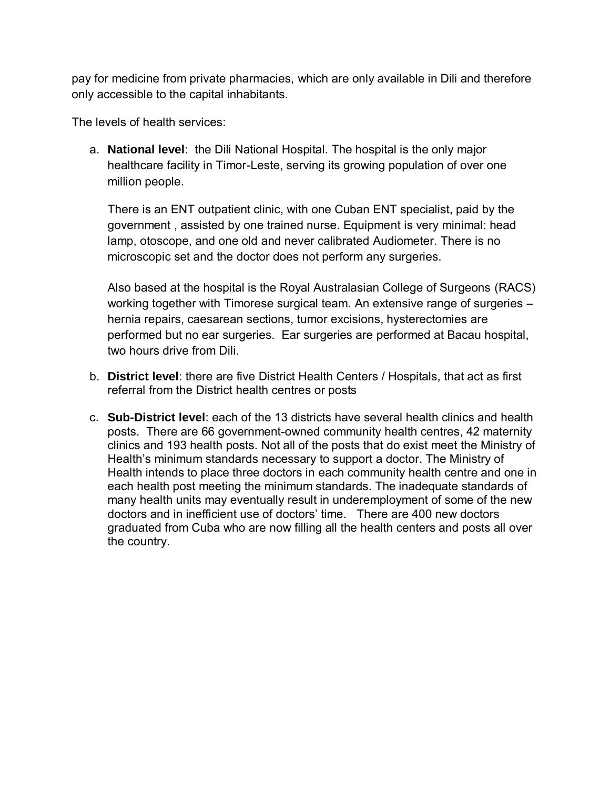only accessible to the capital inhabitants.<br>The levels of health services: pay for medicine from private pharmacies, which are only available in Dili and therefore

 million people. a. **National level**: the Dili National Hospital. The hospital is the only major healthcare facility in Timor-Leste, serving its growing population of over one

 There is an ENT outpatient clinic, with one Cuban ENT specialist, paid by the lamp, otoscope, and one old and never calibrated Audiometer. There is no government , assisted by one trained nurse. Equipment is very minimal: head microscopic set and the doctor does not perform any surgeries.

 working together with Timorese surgical team. An extensive range of surgeries – hernia repairs, caesarean sections, tumor excisions, hysterectomies are performed but no ear surgeries. Ear surgeries are performed at Bacau hospital, Also based at the hospital is the Royal Australasian College of Surgeons (RACS) two hours drive from Dili.

- b. **District level**: there are five District Health Centers / Hospitals, that act as first referral from the District health centres or posts
- posts. There are 66 government-owned community health centres, 42 maternity clinics and 193 health posts. Not all of the posts that do exist meet the Ministry of Health intends to place three doctors in each community health centre and one in doctors and in inefficient use of doctors' time. There are 400 new doctors c. **Sub-District level**: each of the 13 districts have several health clinics and health Health's minimum standards necessary to support a doctor. The Ministry of each health post meeting the minimum standards. The inadequate standards of many health units may eventually result in underemployment of some of the new graduated from Cuba who are now filling all the health centers and posts all over the country.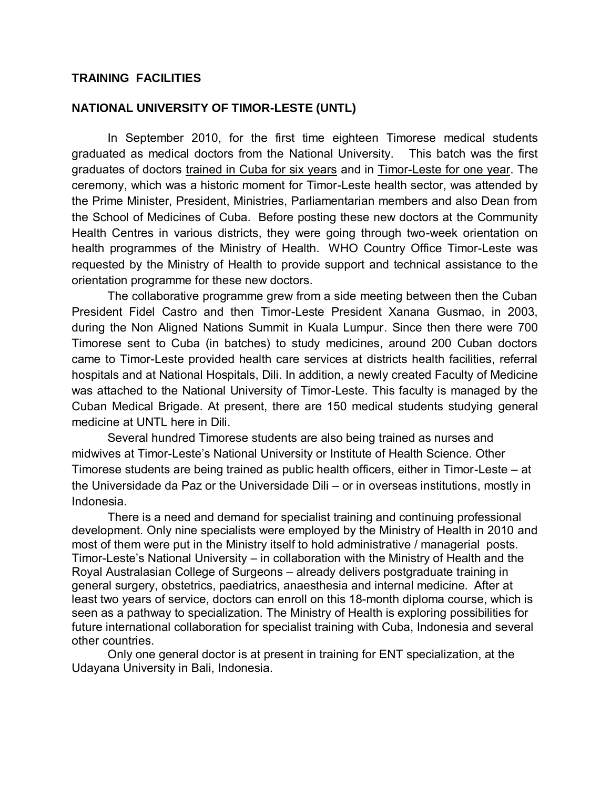#### **TRAINING FACILITIES**

# TRAINING FACILITIES<br>NATIONAL UNIVERSITY OF TIMOR-LESTE (UNTL)

In September 2010, for the first time eighteen Timorese medical students graduated as medical doctors from the National University. This batch was the first graduates of doctors trained in Cuba for six years and in Timor-Leste for one year. The ceremony, which was a historic moment for Timor-Leste health sector, was attended by the Prime Minister, President, Ministries, Parliamentarian members and also Dean from the School of Medicines of Cuba. Before posting these new doctors at the Community Health Centres in various districts, they were going through two-week orientation on health programmes of the Ministry of Health. WHO Country Office Timor-Leste was requested by the Ministry of Health to provide support and technical assistance to the orientation programme for these new doctors.

 President Fidel Castro and then Timor-Leste President Xanana Gusmao, in 2003, during the Non Aligned Nations Summit in Kuala Lumpur. Since then there were 700 Timorese sent to Cuba (in batches) to study medicines, around 200 Cuban doctors came to Timor-Leste provided health care services at districts health facilities, referral was attached to the National University of Timor-Leste. This faculty is managed by the Cuban Medical Brigade. At present, there are 150 medical students studying general medicine at UNTL here in Dili. The collaborative programme grew from a side meeting between then the Cuban hospitals and at National Hospitals, Dili. In addition, a newly created Faculty of Medicine

 Timorese students are being trained as public health officers, either in Timor-Leste – at the Universidade da Paz or the Universidade Dili – or in overseas institutions, mostly in Several hundred Timorese students are also being trained as nurses and midwives at Timor-Leste's National University or Institute of Health Science. Other Indonesia.

 There is a need and demand for specialist training and continuing professional most of them were put in the Ministry itself to hold administrative / managerial posts. Timor-Leste's National University – in collaboration with the Ministry of Health and the Royal Australasian College of Surgeons – already delivers postgraduate training in development. Only nine specialists were employed by the Ministry of Health in 2010 and general surgery, obstetrics, paediatrics, anaesthesia and internal medicine. After at least two years of service, doctors can enroll on this 18-month diploma course, which is seen as a pathway to specialization. The Ministry of Health is exploring possibilities for future international collaboration for specialist training with Cuba, Indonesia and several other countries.

Only one general doctor is at present in training for ENT specialization, at the Udayana University in Bali, Indonesia.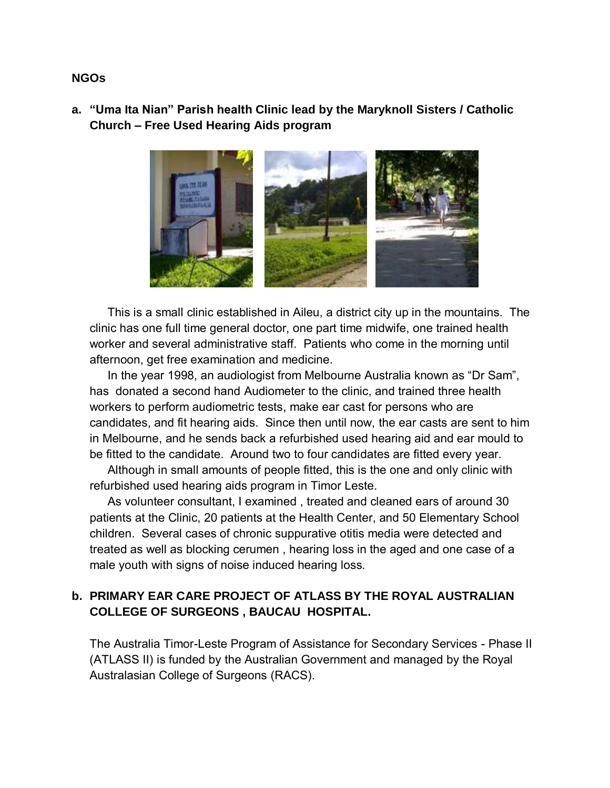#### **Church – Free Used Hearing Aids program a. "Uma Ita Nian" Parish health Clinic lead by the Maryknoll Sisters / Catholic**



This is a small clinic established in Aileu, a district city up in the mountains. The clinic has one full time general doctor, one part time midwife, one trained health worker and several administrative staff. Patients who come in the morning until afternoon, get free examination and medicine.

In the year 1998, an audiologist from Melbourne Australia known as "Dr Sam", has donated a second hand Audiometer to the clinic, and trained three health workers to perform audiometric tests, make ear cast for persons who are candidates, and fit hearing aids. Since then until now, the ear casts are sent to him in Melbourne, and he sends back a refurbished used hearing aid and ear mould to be fitted to the candidate. Around two to four candidates are fitted every year.

 Although in small amounts of people fitted, this is the one and only clinic with refurbished used hearing aids program in Timor Leste.

As volunteer consultant, I examined, treated and cleaned ears of around 30 patients at the Clinic, 20 patients at the Health Center, and 50 Elementary School children. Several cases of chronic suppurative otitis media were detected and treated as well as blocking cerumen , hearing loss in the aged and one case of a male youth with signs of noise induced hearing loss.

#### **b. PRIMARY EAR CARE PROJECT OF ATLASS BY THE ROYAL AUSTRALIAN COLLEGE OF SURGEONS , BAUCAU HOSPITAL.**

 (ATLASS II) is funded by the Australian Government and managed by the Royal The Australia Timor-Leste Program of Assistance for Secondary Services - Phase II Australasian College of Surgeons (RACS).

#### **NGOs**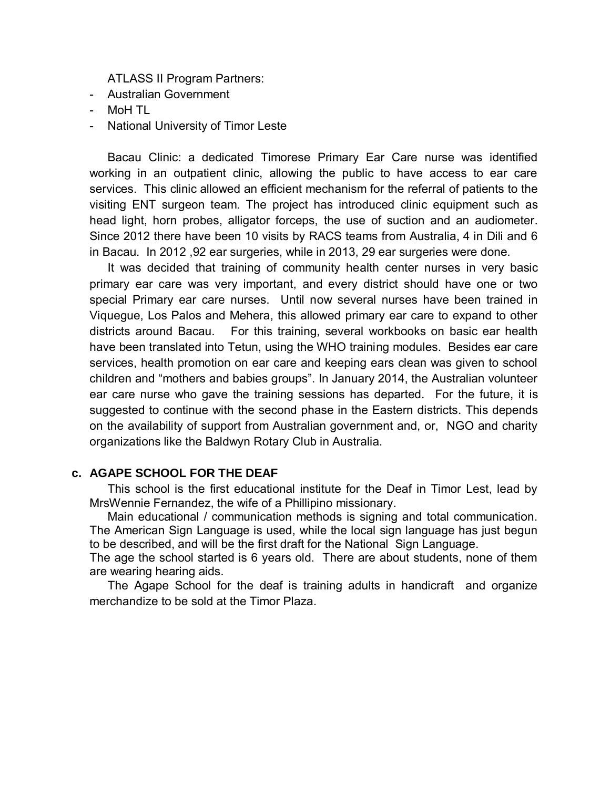ATLASS II Program Partners:<br>- Australian Government<br>- MoH TL

- Australian Government
- MoH TL
- National University of Timor Leste

 working in an outpatient clinic, allowing the public to have access to ear care services. This clinic allowed an efficient mechanism for the referral of patients to the visiting ENT surgeon team. The project has introduced clinic equipment such as head light, horn probes, alligator forceps, the use of suction and an audiometer. Since 2012 there have been 10 visits by RACS teams from Australia, 4 in Dili and 6 in Bacau. In 2012 ,92 ear surgeries, while in 2013, 29 ear surgeries were done. Bacau Clinic: a dedicated Timorese Primary Ear Care nurse was identified

 primary ear care was very important, and every district should have one or two special Primary ear care nurses. Until now several nurses have been trained in Viquegue, Los Palos and Mehera, this allowed primary ear care to expand to other districts around Bacau. have been translated into Tetun, using the WHO training modules. Besides ear care services, health promotion on ear care and keeping ears clean was given to school children and "mothers and babies groups". In January 2014, the Australian volunteer ear care nurse who gave the training sessions has departed. For the future, it is suggested to continue with the second phase in the Eastern districts. This depends on the availability of support from Australian government and, or, NGO and charity organizations like the Baldwyn Rotary Club in Australia. It was decided that training of community health center nurses in very basic For this training, several workbooks on basic ear health

#### **c. AGAPE SCHOOL FOR THE DEAF**

 This school is the first educational institute for the Deaf in Timor Lest, lead by MrsWennie Fernandez, the wife of a Phillipino missionary.

 The American Sign Language is used, while the local sign language has just begun to be described, and will be the first draft for the National Sign Language. Main educational / communication methods is signing and total communication.

 The age the school started is 6 years old. There are about students, none of them are wearing hearing aids.

The Agape School for the deaf is training adults in handicraft and organize merchandize to be sold at the Timor Plaza.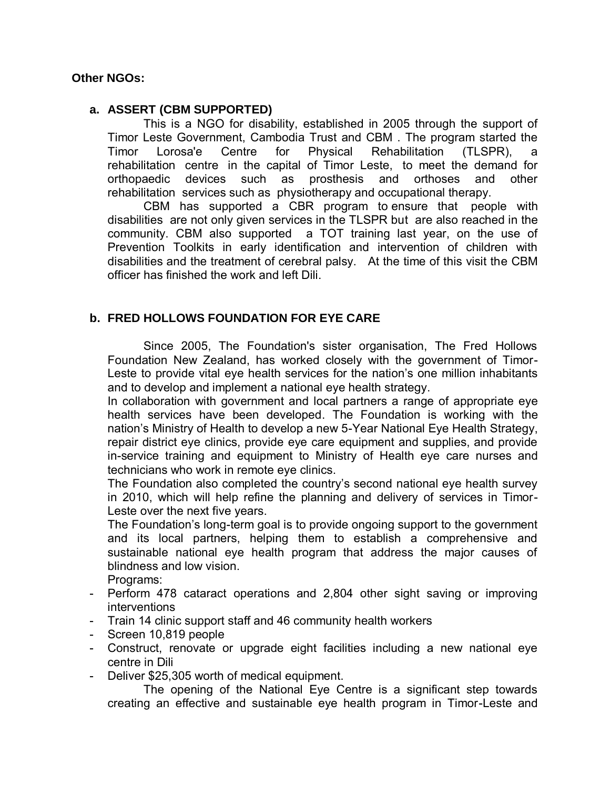#### **Other NGOs:**

#### **a. ASSERT (CBM SUPPORTED)**

 This is a NGO for disability, established in 2005 through the support of Timor Leste Government, Cambodia Trust and CBM . The program started the Lorosa'e rehabilitation centre in the capital of Timor Leste, to meet the demand for devices such as rehabilitation services such as physiotherapy and occupational therapy. Timor Lorosa'e Centre for Physical Rehabilitation (TLSPR), a orthopaedic devices such as prosthesis and orthoses and other

 disabilities are not only given services in the TLSPR but are also reached in the community. CBM also supported a TOT training last year, on the use of Prevention Toolkits in early identification and intervention of children with disabilities and the treatment of cerebral palsy. At the time of this visit the CBM officer has finished the work and left Dili. CBM has supported a CBR program to ensure that people with

#### **b. FRED HOLLOWS FOUNDATION FOR EYE CARE**

 Since 2005, The Foundation's sister organisation, The Fred Hollows Foundation New Zealand, has worked closely with the government of Timor- Leste to provide vital eye health services for the nation's one million inhabitants and to develop and implement a national eye health strategy.

 In collaboration with government and local partners a range of appropriate eye health services have been developed. The Foundation is working with the nation's Ministry of Health to develop a new 5-Year National Eye Health Strategy, repair district eye clinics, provide eye care equipment and supplies, and provide in-service training and equipment to Ministry of Health eye care nurses and technicians who work in remote eye clinics.

 The Foundation also completed the country's second national eye health survey in 2010, which will help refine the planning and delivery of services in Timor-Leste over the next five years.

 The Foundation's long-term goal is to provide ongoing support to the government and its local partners, helping them to establish a comprehensive and sustainable national eye health program that address the major causes of blindness and low vision.<br>Programs:

- - Perform 478 cataract operations and 2,804 other sight saving or improving interventions
- Train 14 clinic support staff and 46 community health workers
- Screen 10,819 people
- - Construct, renovate or upgrade eight facilities including a new national eye centre in Dili
- Deliver \$25,305 worth of medical equipment.

 creating an effective and sustainable eye health program in Timor-Leste and The opening of the National Eye Centre is a significant step towards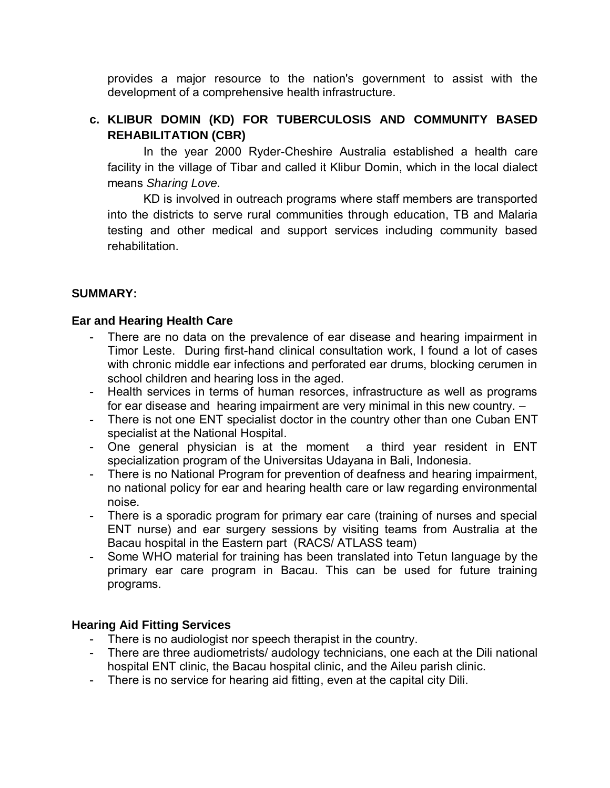provides a major resource to the nation's government to assist with the development of a comprehensive health infrastructure.

#### **c. KLIBUR DOMIN (KD) FOR TUBERCULOSIS AND COMMUNITY BASED REHABILITATION (CBR)**

 facility in the village of Tibar and called it Klibur Domin, which in the local dialect In the year 2000 Ryder-Cheshire Australia established a health care means *Sharing Love.* 

 KD is involved in outreach programs where staff members are transported into the districts to serve rural communities through education, TB and Malaria testing and other medical and support services including community based rehabilitation.

#### **SUMMARY:**

#### **Ear and Hearing Health Care**

- There are no data on the prevalence of ear disease and hearing impairment in Timor Leste. During first-hand clinical consultation work, I found a lot of cases with chronic middle ear infections and perforated ear drums, blocking cerumen in school children and hearing loss in the aged.
- Health services in terms of human resorces, infrastructure as well as programs for ear disease and hearing impairment are very minimal in this new country. –
- There is not one ENT specialist doctor in the country other than one Cuban ENT specialist at the National Hospital.
- One general physician is at the moment a third year resident in ENT specialization program of the Universitas Udayana in Bali, Indonesia.
- There is no National Program for prevention of deafness and hearing impairment, no national policy for ear and hearing health care or law regarding environmental noise.
- There is a sporadic program for primary ear care (training of nurses and special ENT nurse) and ear surgery sessions by visiting teams from Australia at the Bacau hospital in the Eastern part (RACS/ ATLASS team)
- Some WHO material for training has been translated into Tetun language by the primary ear care program in Bacau. This can be used for future training programs.

#### **Hearing Aid Fitting Services**

- There is no audiologist nor speech therapist in the country.
- There are three audiometrists/ audology technicians, one each at the Dili national hospital ENT clinic, the Bacau hospital clinic, and the Aileu parish clinic.
- There is no service for hearing aid fitting, even at the capital city Dili.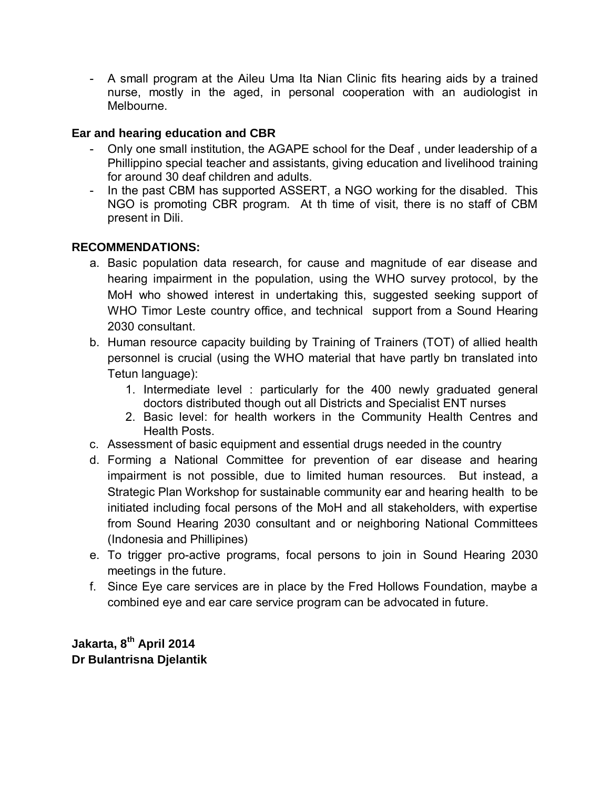- A small program at the Aileu Uma Ita Nian Clinic fits hearing aids by a trained nurse, mostly in the aged, in personal cooperation with an audiologist in Melbourne.

#### **Ear and hearing education and CBR**

- - Only one small institution, the AGAPE school for the Deaf , under leadership of a Phillippino special teacher and assistants, giving education and livelihood training for around 30 deaf children and adults.
- - In the past CBM has supported ASSERT, a NGO working for the disabled. This NGO is promoting CBR program. At th time of visit, there is no staff of CBM present in Dili.

#### **RECOMMENDATIONS:**

- a. Basic population data research, for cause and magnitude of ear disease and hearing impairment in the population, using the WHO survey protocol, by the MoH who showed interest in undertaking this, suggested seeking support of WHO Timor Leste country office, and technical support from a Sound Hearing 2030 consultant.
- b. Human resource capacity building by Training of Trainers (TOT) of allied health personnel is crucial (using the WHO material that have partly bn translated into Tetun language):
	- 1. Intermediate level : particularly for the 400 newly graduated general doctors distributed though out all Districts and Specialist ENT nurses
	- 2. Basic level: for health workers in the Community Health Centres and Health Posts.
- c. Assessment of basic equipment and essential drugs needed in the country
- d. Forming a National Committee for prevention of ear disease and hearing impairment is not possible, due to limited human resources. But instead, a Strategic Plan Workshop for sustainable community ear and hearing health to be initiated including focal persons of the MoH and all stakeholders, with expertise from Sound Hearing 2030 consultant and or neighboring National Committees (Indonesia and Phillipines)
- e. To trigger pro-active programs, focal persons to join in Sound Hearing 2030 meetings in the future.
- f. Since Eye care services are in place by the Fred Hollows Foundation, maybe a combined eye and ear care service program can be advocated in future.

 **Jakarta, 8th April 2014 Dr Bulantrisna Djelantik**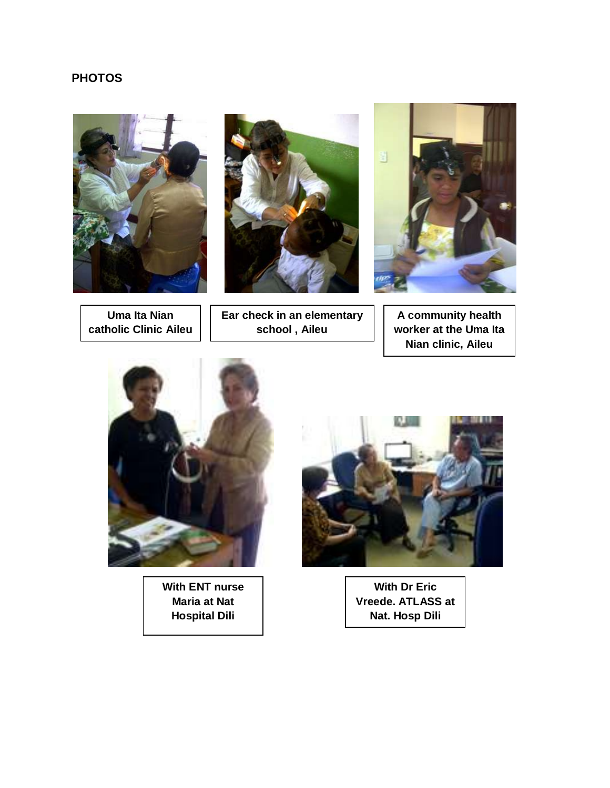#### **PHOTOS**





**Uma Ita Nian catholic Clinic Aileu** 

**Ear check in an elementary school , Aileu** 



**A community health worker at the Uma Ita Nian clinic, Aileu** 



**With ENT nurse Maria at Nat Hospital Dili** 



**With Dr Eric Vreede. ATLASS at Nat. Hosp Dili**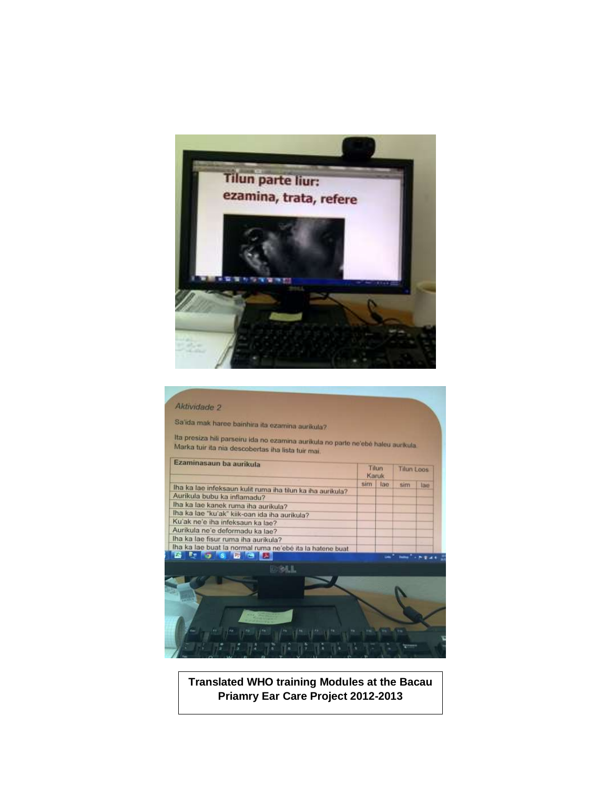

#### Aktividade 2

Sa'ida mak haree bainhira ita ezamina aurikula?

lta presiza hili parseiru ida no ezamina aurikula no parte ne'ebé haleu aurikula.<br>Marka tuir ita nia descobertas ibn lista tui moi Marka tuir ita nia descobertas iha lista tuir mai.

| Ezaminasaun ba aurikula<br>Iha ka lae infeksaun kulit ruma iha tilun ka iha aurikula? | Tilun<br>Karuk |     | <b>Tilun Loos</b> |     |
|---------------------------------------------------------------------------------------|----------------|-----|-------------------|-----|
|                                                                                       | sim            | lao | sim               | lae |
| Aurikula bubu ka inflamadu?                                                           |                |     |                   |     |
| Iha ka lae kanek ruma iha aurikula?                                                   |                |     |                   |     |
| Iha ka lae "ku'ak" kiik-oan ida iha aurikula?                                         |                |     |                   |     |
| Ku'ak ne'e iha infeksaun ka lae?                                                      |                |     |                   |     |
| Aurikula ne'e deformadu ka lae?                                                       |                |     |                   |     |
| lha ka lae fisur ruma iha aurikula?                                                   |                |     |                   |     |
| lha ka lae buat la normal ruma ne'ebé ita la hatene buat                              |                |     |                   |     |
| <b>FAIR RW ROW ROOM OF STARTING</b>                                                   |                |     |                   |     |



**Translated WHO training Modules at the Bacau Priamry Ear Care Project 2012-2013**